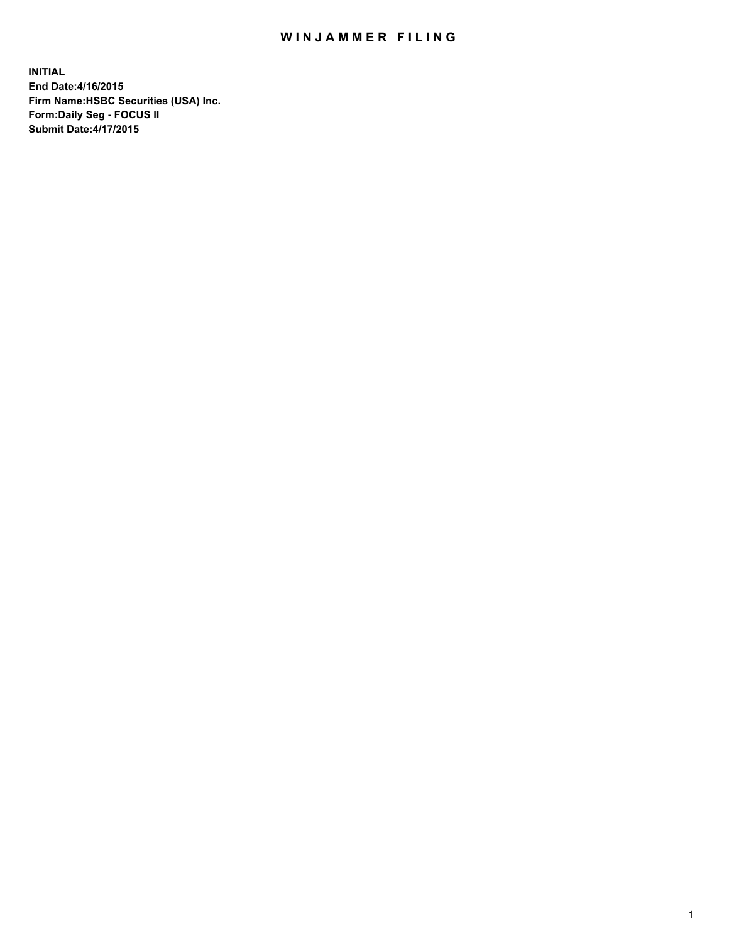## WIN JAMMER FILING

**INITIAL End Date:4/16/2015 Firm Name:HSBC Securities (USA) Inc. Form:Daily Seg - FOCUS II Submit Date:4/17/2015**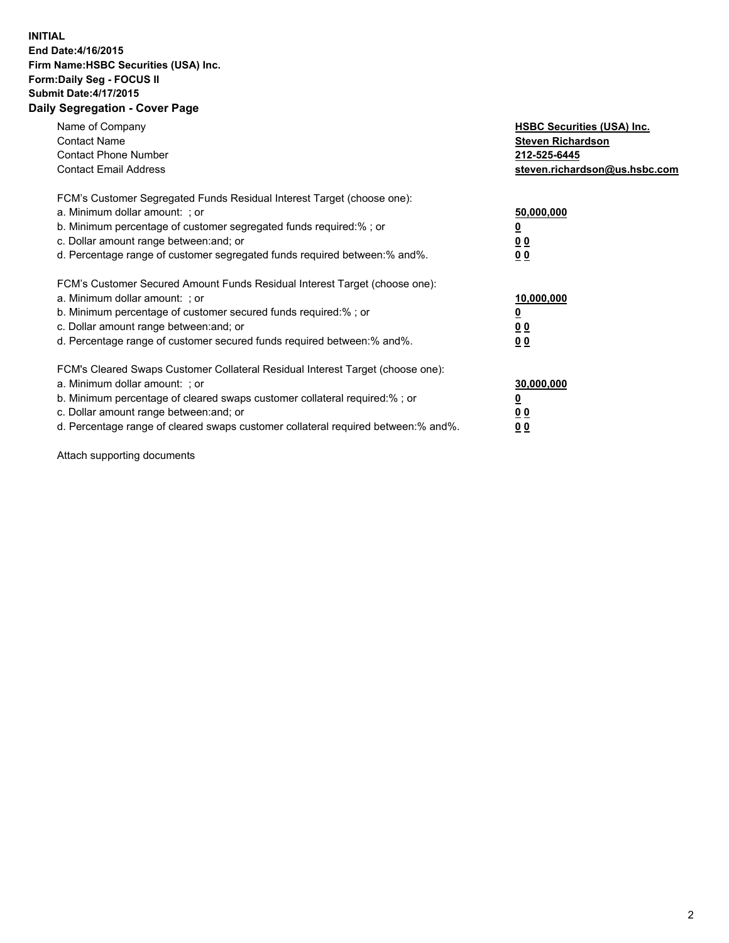## **INITIAL End Date:4/16/2015 Firm Name:HSBC Securities (USA) Inc. Form:Daily Seg - FOCUS II Submit Date:4/17/2015 Daily Segregation - Cover Page**

| Name of Company<br><b>Contact Name</b><br><b>Contact Phone Number</b><br><b>Contact Email Address</b>                                                                                                                                                                                                                          | <b>HSBC Securities (USA) Inc.</b><br><b>Steven Richardson</b><br>212-525-6445<br>steven.richardson@us.hsbc.com |
|--------------------------------------------------------------------------------------------------------------------------------------------------------------------------------------------------------------------------------------------------------------------------------------------------------------------------------|----------------------------------------------------------------------------------------------------------------|
| FCM's Customer Segregated Funds Residual Interest Target (choose one):<br>a. Minimum dollar amount: ; or<br>b. Minimum percentage of customer segregated funds required:%; or<br>c. Dollar amount range between: and; or<br>d. Percentage range of customer segregated funds required between: % and %.                        | 50,000,000<br>0 <sub>0</sub><br>0 <sub>0</sub>                                                                 |
| FCM's Customer Secured Amount Funds Residual Interest Target (choose one):<br>a. Minimum dollar amount: ; or<br>b. Minimum percentage of customer secured funds required:%; or<br>c. Dollar amount range between: and; or<br>d. Percentage range of customer secured funds required between:% and%.                            | 10,000,000<br><u>0</u><br>0 <sub>0</sub><br>0 <sub>0</sub>                                                     |
| FCM's Cleared Swaps Customer Collateral Residual Interest Target (choose one):<br>a. Minimum dollar amount: ; or<br>b. Minimum percentage of cleared swaps customer collateral required:% ; or<br>c. Dollar amount range between: and; or<br>d. Percentage range of cleared swaps customer collateral required between:% and%. | 30,000,000<br>00<br><u>00</u>                                                                                  |

Attach supporting documents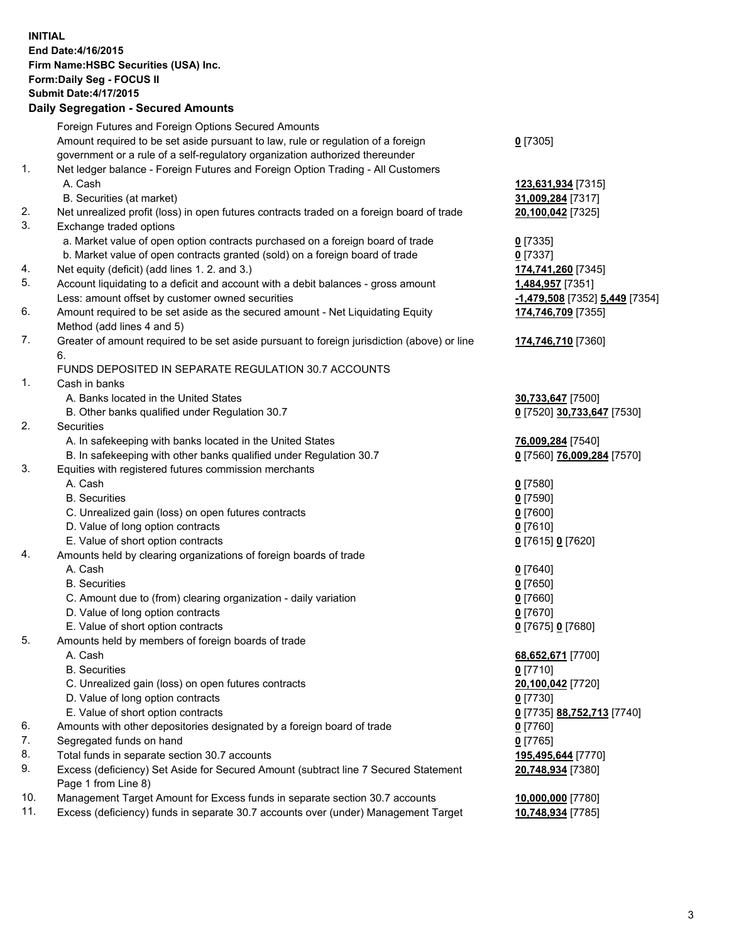**INITIAL End Date:4/16/2015 Firm Name:HSBC Securities (USA) Inc. Form:Daily Seg - FOCUS II Submit Date:4/17/2015 Daily Segregation - Secured Amounts**

Foreign Futures and Foreign Options Secured Amounts Amount required to be set aside pursuant to law, rule or regulation of a foreign government or a rule of a self-regulatory organization authorized thereunder **0** [7305] 1. Net ledger balance - Foreign Futures and Foreign Option Trading - All Customers A. Cash **123,631,934** [7315] B. Securities (at market) **31,009,284** [7317] 2. Net unrealized profit (loss) in open futures contracts traded on a foreign board of trade **20,100,042** [7325] 3. Exchange traded options a. Market value of open option contracts purchased on a foreign board of trade **0** [7335] b. Market value of open contracts granted (sold) on a foreign board of trade **0** [7337] 4. Net equity (deficit) (add lines 1. 2. and 3.) **174,741,260** [7345] 5. Account liquidating to a deficit and account with a debit balances - gross amount **1,484,957** [7351] Less: amount offset by customer owned securities **-1,479,508** [7352] **5,449** [7354] 6. Amount required to be set aside as the secured amount - Net Liquidating Equity Method (add lines 4 and 5) **174,746,709** [7355] 7. Greater of amount required to be set aside pursuant to foreign jurisdiction (above) or line 6. **174,746,710** [7360] FUNDS DEPOSITED IN SEPARATE REGULATION 30.7 ACCOUNTS 1. Cash in banks A. Banks located in the United States **30,733,647** [7500] B. Other banks qualified under Regulation 30.7 **0** [7520] **30,733,647** [7530] 2. Securities A. In safekeeping with banks located in the United States **76,009,284** [7540] B. In safekeeping with other banks qualified under Regulation 30.7 **0** [7560] **76,009,284** [7570] 3. Equities with registered futures commission merchants A. Cash **0** [7580] B. Securities **0** [7590] C. Unrealized gain (loss) on open futures contracts **0** [7600] D. Value of long option contracts **0** [7610] E. Value of short option contracts **0** [7615] **0** [7620] 4. Amounts held by clearing organizations of foreign boards of trade A. Cash **0** [7640] B. Securities **0** [7650] C. Amount due to (from) clearing organization - daily variation **0** [7660] D. Value of long option contracts **0** [7670] E. Value of short option contracts **0** [7675] **0** [7680] 5. Amounts held by members of foreign boards of trade A. Cash **68,652,671** [7700] B. Securities **0** [7710] C. Unrealized gain (loss) on open futures contracts **20,100,042** [7720] D. Value of long option contracts **0** [7730] E. Value of short option contracts **0** [7735] **88,752,713** [7740] 6. Amounts with other depositories designated by a foreign board of trade **0** [7760] 7. Segregated funds on hand **0** [7765] 8. Total funds in separate section 30.7 accounts **195,495,644** [7770] 9. Excess (deficiency) Set Aside for Secured Amount (subtract line 7 Secured Statement Page 1 from Line 8) **20,748,934** [7380] 10. Management Target Amount for Excess funds in separate section 30.7 accounts **10,000,000** [7780] 11. Excess (deficiency) funds in separate 30.7 accounts over (under) Management Target **10,748,934** [7785]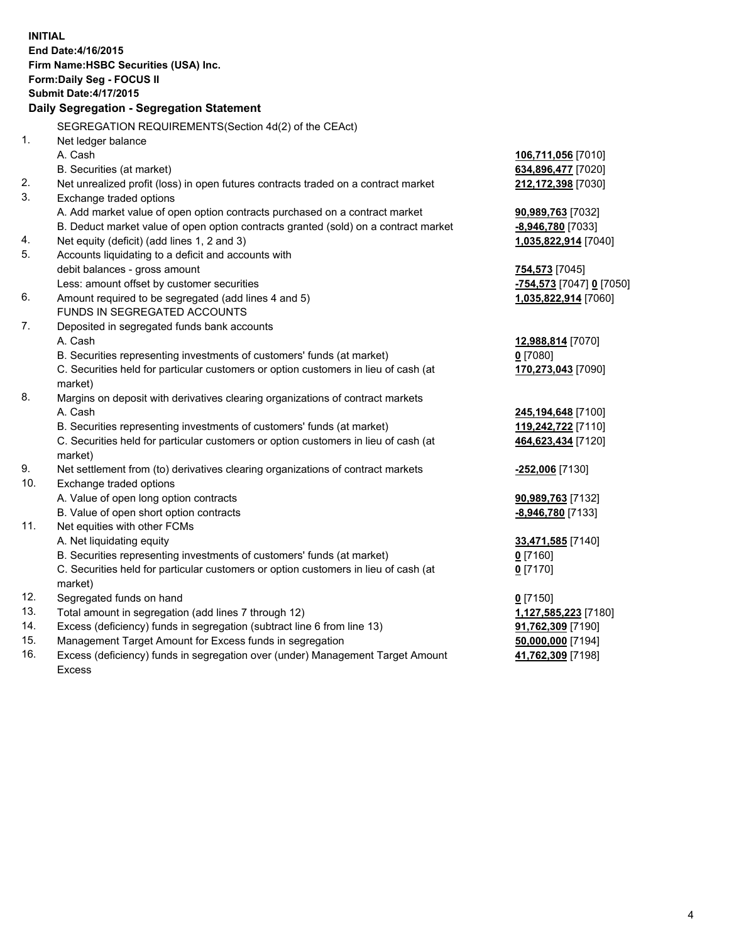| <b>INITIAL</b> | End Date: 4/16/2015<br>Firm Name: HSBC Securities (USA) Inc.<br>Form: Daily Seg - FOCUS II<br><b>Submit Date: 4/17/2015</b><br>Daily Segregation - Segregation Statement |                          |
|----------------|--------------------------------------------------------------------------------------------------------------------------------------------------------------------------|--------------------------|
| 1.             | SEGREGATION REQUIREMENTS(Section 4d(2) of the CEAct)                                                                                                                     |                          |
|                | Net ledger balance<br>A. Cash                                                                                                                                            | 106,711,056 [7010]       |
|                | B. Securities (at market)                                                                                                                                                | 634,896,477 [7020]       |
| 2.             | Net unrealized profit (loss) in open futures contracts traded on a contract market                                                                                       | 212,172,398 [7030]       |
| 3.             | Exchange traded options                                                                                                                                                  |                          |
|                | A. Add market value of open option contracts purchased on a contract market                                                                                              | 90,989,763 [7032]        |
|                | B. Deduct market value of open option contracts granted (sold) on a contract market                                                                                      | -8,946,780 [7033]        |
| 4.             | Net equity (deficit) (add lines 1, 2 and 3)                                                                                                                              | 1,035,822,914 [7040]     |
| 5.             | Accounts liquidating to a deficit and accounts with                                                                                                                      |                          |
|                | debit balances - gross amount                                                                                                                                            | 754,573 [7045]           |
|                | Less: amount offset by customer securities                                                                                                                               | -754,573 [7047] 0 [7050] |
| 6.             | Amount required to be segregated (add lines 4 and 5)                                                                                                                     | 1,035,822,914 [7060]     |
|                | FUNDS IN SEGREGATED ACCOUNTS                                                                                                                                             |                          |
| 7.             | Deposited in segregated funds bank accounts                                                                                                                              |                          |
|                | A. Cash                                                                                                                                                                  | 12,988,814 [7070]        |
|                | B. Securities representing investments of customers' funds (at market)                                                                                                   | $0$ [7080]               |
|                | C. Securities held for particular customers or option customers in lieu of cash (at<br>market)                                                                           | 170,273,043 [7090]       |
| 8.             | Margins on deposit with derivatives clearing organizations of contract markets                                                                                           |                          |
|                | A. Cash                                                                                                                                                                  | 245,194,648 [7100]       |
|                | B. Securities representing investments of customers' funds (at market)                                                                                                   | 119,242,722 [7110]       |
|                | C. Securities held for particular customers or option customers in lieu of cash (at                                                                                      | 464,623,434 [7120]       |
|                | market)                                                                                                                                                                  |                          |
| 9.             | Net settlement from (to) derivatives clearing organizations of contract markets                                                                                          | <u>-252,006</u> [7130]   |
| 10.            | Exchange traded options                                                                                                                                                  |                          |
|                | A. Value of open long option contracts                                                                                                                                   | 90,989,763 [7132]        |
|                | B. Value of open short option contracts                                                                                                                                  | -8,946,780 [7133]        |
| 11.            | Net equities with other FCMs                                                                                                                                             |                          |
|                | A. Net liquidating equity                                                                                                                                                | 33,471,585 [7140]        |
|                | B. Securities representing investments of customers' funds (at market)                                                                                                   | 0 [7160]                 |
|                | C. Securities held for particular customers or option customers in lieu of cash (at                                                                                      | $0$ [7170]               |
|                | market)                                                                                                                                                                  |                          |
| 12.            | Segregated funds on hand                                                                                                                                                 | $0$ [7150]               |
| 13.            | Total amount in segregation (add lines 7 through 12)                                                                                                                     | 1,127,585,223 [7180]     |
| 14.            | Excess (deficiency) funds in segregation (subtract line 6 from line 13)                                                                                                  | 91,762,309 [7190]        |
| 15.            | Management Target Amount for Excess funds in segregation                                                                                                                 | 50,000,000 [7194]        |
| 16.            | Excess (deficiency) funds in segregation over (under) Management Target Amount                                                                                           | 41,762,309 [7198]        |
|                | Excess                                                                                                                                                                   |                          |